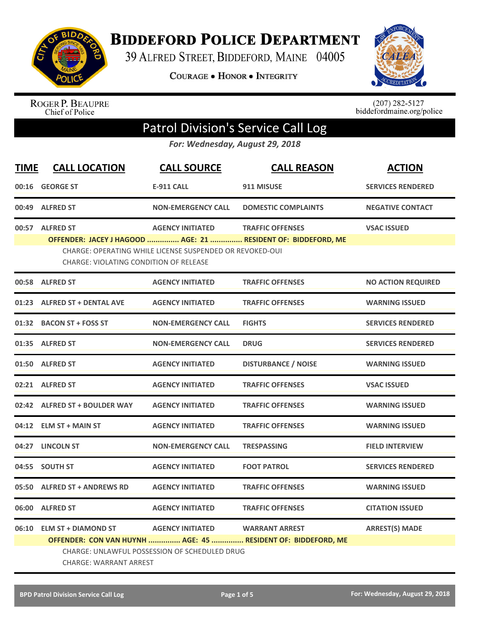

**BIDDEFORD POLICE DEPARTMENT** 

39 ALFRED STREET, BIDDEFORD, MAINE 04005

**COURAGE . HONOR . INTEGRITY** 



ROGER P. BEAUPRE<br>Chief of Police

 $(207)$  282-5127<br>biddefordmaine.org/police

## Patrol Division's Service Call Log

*For: Wednesday, August 29, 2018*

| <b>TIME</b> | <b>CALL LOCATION</b>                                                                                                                           | <b>CALL SOURCE</b>                                       | <b>CALL REASON</b>                                                                       | <b>ACTION</b>             |  |
|-------------|------------------------------------------------------------------------------------------------------------------------------------------------|----------------------------------------------------------|------------------------------------------------------------------------------------------|---------------------------|--|
|             | 00:16 GEORGE ST                                                                                                                                | <b>E-911 CALL</b>                                        | 911 MISUSE                                                                               | <b>SERVICES RENDERED</b>  |  |
|             | 00:49 ALFRED ST                                                                                                                                | <b>NON-EMERGENCY CALL</b>                                | <b>DOMESTIC COMPLAINTS</b>                                                               | <b>NEGATIVE CONTACT</b>   |  |
|             | 00:57 ALFRED ST                                                                                                                                | <b>AGENCY INITIATED</b>                                  | <b>TRAFFIC OFFENSES</b><br>OFFENDER: JACEY J HAGOOD  AGE: 21  RESIDENT OF: BIDDEFORD, ME | <b>VSAC ISSUED</b>        |  |
|             | <b>CHARGE: VIOLATING CONDITION OF RELEASE</b>                                                                                                  | CHARGE: OPERATING WHILE LICENSE SUSPENDED OR REVOKED-OUI |                                                                                          |                           |  |
|             | 00:58 ALFRED ST                                                                                                                                | <b>AGENCY INITIATED</b>                                  | <b>TRAFFIC OFFENSES</b>                                                                  | <b>NO ACTION REQUIRED</b> |  |
| 01:23       | <b>ALFRED ST + DENTAL AVE</b>                                                                                                                  | <b>AGENCY INITIATED</b>                                  | <b>TRAFFIC OFFENSES</b>                                                                  | <b>WARNING ISSUED</b>     |  |
|             | 01:32 BACON ST + FOSS ST                                                                                                                       | <b>NON-EMERGENCY CALL</b>                                | <b>FIGHTS</b>                                                                            | <b>SERVICES RENDERED</b>  |  |
|             | 01:35 ALFRED ST                                                                                                                                | <b>NON-EMERGENCY CALL</b>                                | <b>DRUG</b>                                                                              | <b>SERVICES RENDERED</b>  |  |
|             | 01:50 ALFRED ST                                                                                                                                | <b>AGENCY INITIATED</b>                                  | <b>DISTURBANCE / NOISE</b>                                                               | <b>WARNING ISSUED</b>     |  |
|             | 02:21 ALFRED ST                                                                                                                                | <b>AGENCY INITIATED</b>                                  | <b>TRAFFIC OFFENSES</b>                                                                  | <b>VSAC ISSUED</b>        |  |
|             | 02:42 ALFRED ST + BOULDER WAY                                                                                                                  | <b>AGENCY INITIATED</b>                                  | <b>TRAFFIC OFFENSES</b>                                                                  | <b>WARNING ISSUED</b>     |  |
|             | 04:12 ELM ST + MAIN ST                                                                                                                         | <b>AGENCY INITIATED</b>                                  | <b>TRAFFIC OFFENSES</b>                                                                  | <b>WARNING ISSUED</b>     |  |
|             | 04:27 LINCOLN ST                                                                                                                               | <b>NON-EMERGENCY CALL</b>                                | <b>TRESPASSING</b>                                                                       | <b>FIELD INTERVIEW</b>    |  |
| 04:55       | <b>SOUTH ST</b>                                                                                                                                | <b>AGENCY INITIATED</b>                                  | <b>FOOT PATROL</b>                                                                       | <b>SERVICES RENDERED</b>  |  |
| 05:50       | <b>ALFRED ST + ANDREWS RD</b>                                                                                                                  | <b>AGENCY INITIATED</b>                                  | <b>TRAFFIC OFFENSES</b>                                                                  | <b>WARNING ISSUED</b>     |  |
| 06:00       | <b>ALFRED ST</b>                                                                                                                               | <b>AGENCY INITIATED</b>                                  | <b>TRAFFIC OFFENSES</b>                                                                  | <b>CITATION ISSUED</b>    |  |
|             | 06:10 ELM ST + DIAMOND ST                                                                                                                      | <b>AGENCY INITIATED</b>                                  | <b>WARRANT ARREST</b>                                                                    | <b>ARREST(S) MADE</b>     |  |
|             | OFFENDER: CON VAN HUYNH  AGE: 45  RESIDENT OF: BIDDEFORD, ME<br>CHARGE: UNLAWFUL POSSESSION OF SCHEDULED DRUG<br><b>CHARGE: WARRANT ARREST</b> |                                                          |                                                                                          |                           |  |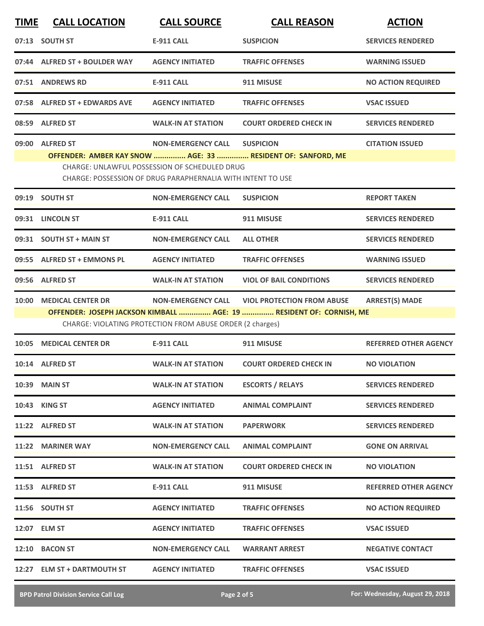| <b>TIME</b> | <b>CALL LOCATION</b>          | <b>CALL SOURCE</b>                                                                                                                               | <b>CALL REASON</b>                                                                                       | <b>ACTION</b>                |
|-------------|-------------------------------|--------------------------------------------------------------------------------------------------------------------------------------------------|----------------------------------------------------------------------------------------------------------|------------------------------|
|             | 07:13 SOUTH ST                | <b>E-911 CALL</b>                                                                                                                                | <b>SUSPICION</b>                                                                                         | <b>SERVICES RENDERED</b>     |
|             | 07:44 ALFRED ST + BOULDER WAY | <b>AGENCY INITIATED</b>                                                                                                                          | <b>TRAFFIC OFFENSES</b>                                                                                  | <b>WARNING ISSUED</b>        |
|             | 07:51 ANDREWS RD              | <b>E-911 CALL</b>                                                                                                                                | 911 MISUSE                                                                                               | <b>NO ACTION REQUIRED</b>    |
|             | 07:58 ALFRED ST + EDWARDS AVE | <b>AGENCY INITIATED</b>                                                                                                                          | <b>TRAFFIC OFFENSES</b>                                                                                  | <b>VSAC ISSUED</b>           |
|             | 08:59 ALFRED ST               | <b>WALK-IN AT STATION</b>                                                                                                                        | <b>COURT ORDERED CHECK IN</b>                                                                            | <b>SERVICES RENDERED</b>     |
|             | 09:00 ALFRED ST               | <b>NON-EMERGENCY CALL</b><br><b>CHARGE: UNLAWFUL POSSESSION OF SCHEDULED DRUG</b><br>CHARGE: POSSESSION OF DRUG PARAPHERNALIA WITH INTENT TO USE | <b>SUSPICION</b><br>OFFENDER: AMBER KAY SNOW  AGE: 33  RESIDENT OF: SANFORD, ME                          | <b>CITATION ISSUED</b>       |
|             | 09:19 SOUTH ST                | <b>NON-EMERGENCY CALL</b>                                                                                                                        | <b>SUSPICION</b>                                                                                         | <b>REPORT TAKEN</b>          |
|             | 09:31 LINCOLN ST              | E-911 CALL                                                                                                                                       | 911 MISUSE                                                                                               | <b>SERVICES RENDERED</b>     |
|             | 09:31 SOUTH ST + MAIN ST      | <b>NON-EMERGENCY CALL</b>                                                                                                                        | <b>ALL OTHER</b>                                                                                         | <b>SERVICES RENDERED</b>     |
|             | 09:55 ALFRED ST + EMMONS PL   | <b>AGENCY INITIATED</b>                                                                                                                          | <b>TRAFFIC OFFENSES</b>                                                                                  | <b>WARNING ISSUED</b>        |
|             | 09:56 ALFRED ST               | <b>WALK-IN AT STATION</b>                                                                                                                        | <b>VIOL OF BAIL CONDITIONS</b>                                                                           | <b>SERVICES RENDERED</b>     |
| 10:00       | <b>MEDICAL CENTER DR</b>      | <b>NON-EMERGENCY CALL</b><br>CHARGE: VIOLATING PROTECTION FROM ABUSE ORDER (2 charges)                                                           | <b>VIOL PROTECTION FROM ABUSE</b><br>OFFENDER: JOSEPH JACKSON KIMBALL  AGE: 19  RESIDENT OF: CORNISH, ME | <b>ARREST(S) MADE</b>        |
| 10:05       | <b>MEDICAL CENTER DR</b>      | <b>E-911 CALL</b>                                                                                                                                | 911 MISUSE                                                                                               | <b>REFERRED OTHER AGENCY</b> |
|             | 10:14 ALFRED ST               | <b>WALK-IN AT STATION</b>                                                                                                                        | <b>COURT ORDERED CHECK IN</b>                                                                            | <b>NO VIOLATION</b>          |
|             | 10:39 MAIN ST                 | <b>WALK-IN AT STATION</b>                                                                                                                        | <b>ESCORTS / RELAYS</b>                                                                                  | <b>SERVICES RENDERED</b>     |
|             | <b>10:43 KING ST</b>          | <b>AGENCY INITIATED</b>                                                                                                                          | <b>ANIMAL COMPLAINT</b>                                                                                  | <b>SERVICES RENDERED</b>     |
|             | 11:22 ALFRED ST               | <b>WALK-IN AT STATION</b>                                                                                                                        | <b>PAPERWORK</b>                                                                                         | <b>SERVICES RENDERED</b>     |
|             | 11:22 MARINER WAY             | <b>NON-EMERGENCY CALL</b>                                                                                                                        | <b>ANIMAL COMPLAINT</b>                                                                                  | <b>GONE ON ARRIVAL</b>       |
|             | 11:51 ALFRED ST               | <b>WALK-IN AT STATION</b>                                                                                                                        | <b>COURT ORDERED CHECK IN</b>                                                                            | <b>NO VIOLATION</b>          |
|             | 11:53 ALFRED ST               | E-911 CALL                                                                                                                                       | 911 MISUSE                                                                                               | <b>REFERRED OTHER AGENCY</b> |
|             | 11:56 SOUTH ST                | <b>AGENCY INITIATED</b>                                                                                                                          | <b>TRAFFIC OFFENSES</b>                                                                                  | <b>NO ACTION REQUIRED</b>    |
|             | 12:07 ELM ST                  | <b>AGENCY INITIATED</b>                                                                                                                          | <b>TRAFFIC OFFENSES</b>                                                                                  | <b>VSAC ISSUED</b>           |
|             | 12:10 BACON ST                | <b>NON-EMERGENCY CALL</b>                                                                                                                        | <b>WARRANT ARREST</b>                                                                                    | <b>NEGATIVE CONTACT</b>      |
|             | 12:27 ELM ST + DARTMOUTH ST   | <b>AGENCY INITIATED</b>                                                                                                                          | <b>TRAFFIC OFFENSES</b>                                                                                  | <b>VSAC ISSUED</b>           |

**BPD Patrol Division Service Call Log Page 2 of 5 For: Wednesday, August 29, 2018**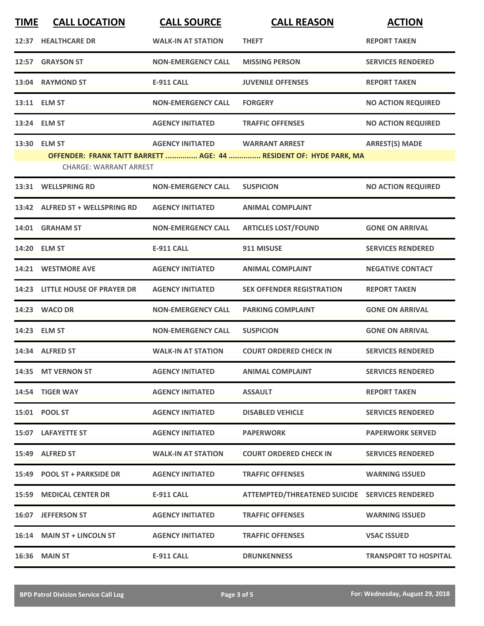| <b>TIME</b>                                                                                         | <b>CALL LOCATION</b>            | <b>CALL SOURCE</b>        | <b>CALL REASON</b>                             | <b>ACTION</b>                |  |
|-----------------------------------------------------------------------------------------------------|---------------------------------|---------------------------|------------------------------------------------|------------------------------|--|
|                                                                                                     | 12:37 HEALTHCARE DR             | <b>WALK-IN AT STATION</b> | <b>THEFT</b>                                   | <b>REPORT TAKEN</b>          |  |
|                                                                                                     | 12:57 GRAYSON ST                | <b>NON-EMERGENCY CALL</b> | <b>MISSING PERSON</b>                          | <b>SERVICES RENDERED</b>     |  |
|                                                                                                     | 13:04 RAYMOND ST                | <b>E-911 CALL</b>         | <b>JUVENILE OFFENSES</b>                       | <b>REPORT TAKEN</b>          |  |
|                                                                                                     | 13:11 ELM ST                    | <b>NON-EMERGENCY CALL</b> | <b>FORGERY</b>                                 | <b>NO ACTION REQUIRED</b>    |  |
|                                                                                                     | 13:24 ELM ST                    | <b>AGENCY INITIATED</b>   | <b>TRAFFIC OFFENSES</b>                        | <b>NO ACTION REQUIRED</b>    |  |
|                                                                                                     | 13:30 ELM ST                    | <b>AGENCY INITIATED</b>   | <b>WARRANT ARREST</b>                          | <b>ARREST(S) MADE</b>        |  |
| OFFENDER: FRANK TAITT BARRETT  AGE: 44  RESIDENT OF: HYDE PARK, MA<br><b>CHARGE: WARRANT ARREST</b> |                                 |                           |                                                |                              |  |
| 13:31                                                                                               | <b>WELLSPRING RD</b>            | <b>NON-EMERGENCY CALL</b> | <b>SUSPICION</b>                               | <b>NO ACTION REQUIRED</b>    |  |
|                                                                                                     | 13:42 ALFRED ST + WELLSPRING RD | <b>AGENCY INITIATED</b>   | <b>ANIMAL COMPLAINT</b>                        |                              |  |
|                                                                                                     | 14:01 GRAHAM ST                 | <b>NON-EMERGENCY CALL</b> | <b>ARTICLES LOST/FOUND</b>                     | <b>GONE ON ARRIVAL</b>       |  |
|                                                                                                     | 14:20 ELM ST                    | <b>E-911 CALL</b>         | 911 MISUSE                                     | <b>SERVICES RENDERED</b>     |  |
| 14:21                                                                                               | <b>WESTMORE AVE</b>             | <b>AGENCY INITIATED</b>   | <b>ANIMAL COMPLAINT</b>                        | <b>NEGATIVE CONTACT</b>      |  |
|                                                                                                     | 14:23 LITTLE HOUSE OF PRAYER DR | <b>AGENCY INITIATED</b>   | <b>SEX OFFENDER REGISTRATION</b>               | <b>REPORT TAKEN</b>          |  |
|                                                                                                     | 14:23 WACO DR                   | <b>NON-EMERGENCY CALL</b> | <b>PARKING COMPLAINT</b>                       | <b>GONE ON ARRIVAL</b>       |  |
|                                                                                                     | 14:23 ELM ST                    | <b>NON-EMERGENCY CALL</b> | <b>SUSPICION</b>                               | <b>GONE ON ARRIVAL</b>       |  |
|                                                                                                     | 14:34 ALFRED ST                 | <b>WALK-IN AT STATION</b> | <b>COURT ORDERED CHECK IN</b>                  | <b>SERVICES RENDERED</b>     |  |
|                                                                                                     | 14:35 MT VERNON ST              | <b>AGENCY INITIATED</b>   | <b>ANIMAL COMPLAINT</b>                        | <b>SERVICES RENDERED</b>     |  |
|                                                                                                     | 14:54 TIGER WAY                 | <b>AGENCY INITIATED</b>   | <b>ASSAULT</b>                                 | <b>REPORT TAKEN</b>          |  |
|                                                                                                     | 15:01 POOL ST                   | <b>AGENCY INITIATED</b>   | <b>DISABLED VEHICLE</b>                        | <b>SERVICES RENDERED</b>     |  |
|                                                                                                     | 15:07 LAFAYETTE ST              | <b>AGENCY INITIATED</b>   | <b>PAPERWORK</b>                               | <b>PAPERWORK SERVED</b>      |  |
|                                                                                                     | 15:49 ALFRED ST                 | <b>WALK-IN AT STATION</b> | <b>COURT ORDERED CHECK IN</b>                  | <b>SERVICES RENDERED</b>     |  |
|                                                                                                     | 15:49 POOL ST + PARKSIDE DR     | <b>AGENCY INITIATED</b>   | <b>TRAFFIC OFFENSES</b>                        | <b>WARNING ISSUED</b>        |  |
|                                                                                                     | 15:59 MEDICAL CENTER DR         | <b>E-911 CALL</b>         | ATTEMPTED/THREATENED SUICIDE SERVICES RENDERED |                              |  |
|                                                                                                     | 16:07 JEFFERSON ST              | <b>AGENCY INITIATED</b>   | <b>TRAFFIC OFFENSES</b>                        | <b>WARNING ISSUED</b>        |  |
|                                                                                                     | 16:14 MAIN ST + LINCOLN ST      | <b>AGENCY INITIATED</b>   | <b>TRAFFIC OFFENSES</b>                        | <b>VSAC ISSUED</b>           |  |
|                                                                                                     | <b>16:36 MAIN ST</b>            | <b>E-911 CALL</b>         | <b>DRUNKENNESS</b>                             | <b>TRANSPORT TO HOSPITAL</b> |  |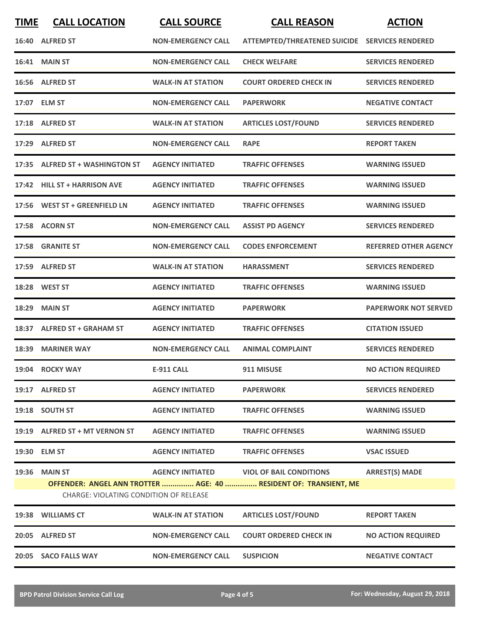| <b>TIME</b> | <b>CALL LOCATION</b>                                    | <b>CALL SOURCE</b>        | <b>CALL REASON</b>                                                                                 | <b>ACTION</b>                |
|-------------|---------------------------------------------------------|---------------------------|----------------------------------------------------------------------------------------------------|------------------------------|
|             | 16:40 ALFRED ST                                         | <b>NON-EMERGENCY CALL</b> | ATTEMPTED/THREATENED SUICIDE SERVICES RENDERED                                                     |                              |
|             | <b>16:41 MAIN ST</b>                                    | <b>NON-EMERGENCY CALL</b> | <b>CHECK WELFARE</b>                                                                               | <b>SERVICES RENDERED</b>     |
|             | 16:56 ALFRED ST                                         | <b>WALK-IN AT STATION</b> | <b>COURT ORDERED CHECK IN</b>                                                                      | <b>SERVICES RENDERED</b>     |
|             | 17:07 ELM ST                                            | <b>NON-EMERGENCY CALL</b> | <b>PAPERWORK</b>                                                                                   | <b>NEGATIVE CONTACT</b>      |
|             | 17:18 ALFRED ST                                         | <b>WALK-IN AT STATION</b> | <b>ARTICLES LOST/FOUND</b>                                                                         | <b>SERVICES RENDERED</b>     |
|             | 17:29 ALFRED ST                                         | <b>NON-EMERGENCY CALL</b> | <b>RAPE</b>                                                                                        | <b>REPORT TAKEN</b>          |
|             | 17:35 ALFRED ST + WASHINGTON ST                         | <b>AGENCY INITIATED</b>   | <b>TRAFFIC OFFENSES</b>                                                                            | <b>WARNING ISSUED</b>        |
|             | 17:42 HILL ST + HARRISON AVE                            | <b>AGENCY INITIATED</b>   | <b>TRAFFIC OFFENSES</b>                                                                            | <b>WARNING ISSUED</b>        |
| 17:56       | <b>WEST ST + GREENFIELD LN</b>                          | <b>AGENCY INITIATED</b>   | <b>TRAFFIC OFFENSES</b>                                                                            | <b>WARNING ISSUED</b>        |
|             | 17:58 ACORN ST                                          | <b>NON-EMERGENCY CALL</b> | <b>ASSIST PD AGENCY</b>                                                                            | <b>SERVICES RENDERED</b>     |
|             | 17:58 GRANITE ST                                        | <b>NON-EMERGENCY CALL</b> | <b>CODES ENFORCEMENT</b>                                                                           | <b>REFERRED OTHER AGENCY</b> |
|             | 17:59 ALFRED ST                                         | <b>WALK-IN AT STATION</b> | HARASSMENT                                                                                         | <b>SERVICES RENDERED</b>     |
|             | 18:28 WEST ST                                           | <b>AGENCY INITIATED</b>   | <b>TRAFFIC OFFENSES</b>                                                                            | <b>WARNING ISSUED</b>        |
| 18:29       | <b>MAIN ST</b>                                          | <b>AGENCY INITIATED</b>   | <b>PAPERWORK</b>                                                                                   | <b>PAPERWORK NOT SERVED</b>  |
| 18:37       | <b>ALFRED ST + GRAHAM ST</b>                            | <b>AGENCY INITIATED</b>   | <b>TRAFFIC OFFENSES</b>                                                                            | <b>CITATION ISSUED</b>       |
| 18:39       | <b>MARINER WAY</b>                                      | <b>NON-EMERGENCY CALL</b> | <b>ANIMAL COMPLAINT</b>                                                                            | <b>SERVICES RENDERED</b>     |
|             | 19:04 ROCKY WAY                                         | <b>E-911 CALL</b>         | 911 MISUSE                                                                                         | <b>NO ACTION REQUIRED</b>    |
|             | 19:17 ALFRED ST                                         | <b>AGENCY INITIATED</b>   | <b>PAPERWORK</b>                                                                                   | <b>SERVICES RENDERED</b>     |
|             | 19:18 SOUTH ST                                          | <b>AGENCY INITIATED</b>   | <b>TRAFFIC OFFENSES</b>                                                                            | <b>WARNING ISSUED</b>        |
|             | 19:19 ALFRED ST + MT VERNON ST                          | <b>AGENCY INITIATED</b>   | <b>TRAFFIC OFFENSES</b>                                                                            | <b>WARNING ISSUED</b>        |
|             | 19:30 ELM ST                                            | <b>AGENCY INITIATED</b>   | <b>TRAFFIC OFFENSES</b>                                                                            | <b>VSAC ISSUED</b>           |
|             | 19:36 MAIN ST<br>CHARGE: VIOLATING CONDITION OF RELEASE | <b>AGENCY INITIATED</b>   | <b>VIOL OF BAIL CONDITIONS</b><br>OFFENDER: ANGEL ANN TROTTER  AGE: 40  RESIDENT OF: TRANSIENT, ME | <b>ARREST(S) MADE</b>        |
|             | 19:38 WILLIAMS CT                                       | <b>WALK-IN AT STATION</b> | <b>ARTICLES LOST/FOUND</b>                                                                         | <b>REPORT TAKEN</b>          |
|             | 20:05 ALFRED ST                                         | <b>NON-EMERGENCY CALL</b> | <b>COURT ORDERED CHECK IN</b>                                                                      | <b>NO ACTION REQUIRED</b>    |
|             | 20:05 SACO FALLS WAY                                    | <b>NON-EMERGENCY CALL</b> | <b>SUSPICION</b>                                                                                   | <b>NEGATIVE CONTACT</b>      |